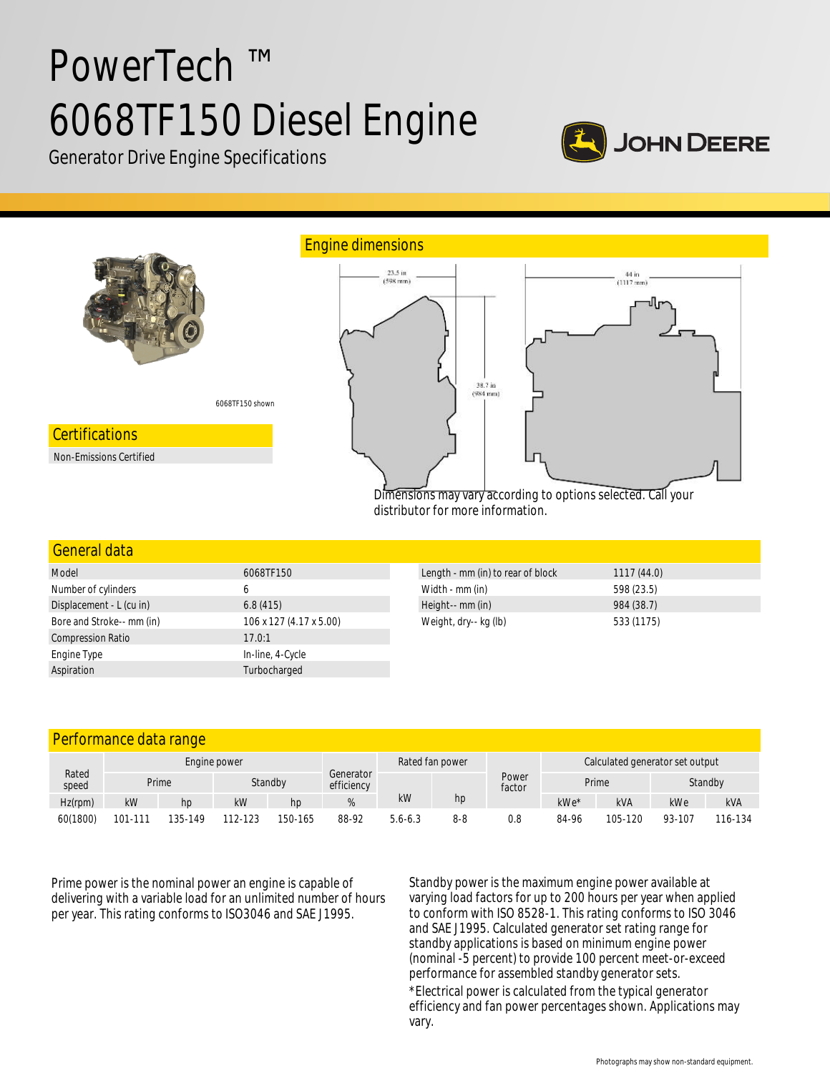# PowerTech ™ 6068TF150 Diesel Engine



Generator Drive Engine Specifications



| <u>GEHEL di Udid</u>      |                         |                                   |            |
|---------------------------|-------------------------|-----------------------------------|------------|
| Model                     | 6068TF150               | Length - mm (in) to rear of block | 1117(44.0) |
| Number of cylinders       | 6                       | Width - mm (in)                   | 598 (23.5) |
| Displacement - L (cu in)  | 6.8(415)                | Height-- mm (in)                  | 984 (38.7) |
| Bore and Stroke-- mm (in) | 106 x 127 (4.17 x 5.00) | Weight, dry-- kg (lb)             | 533 (1175) |
| <b>Compression Ratio</b>  | 17.0:1                  |                                   |            |
| Engine Type               | In-line, 4-Cycle        |                                   |            |
| Aspiration                | Turbocharged            |                                   |            |
|                           |                         |                                   |            |

| Performance data range |              |         |         |         |                         |             |         |                                 |                  |            |        |            |
|------------------------|--------------|---------|---------|---------|-------------------------|-------------|---------|---------------------------------|------------------|------------|--------|------------|
| Rated<br>speed         | Engine power |         |         |         | Rated fan power         |             |         | Calculated generator set output |                  |            |        |            |
|                        |              | Prime   | Standby |         | Generator<br>efficiency |             |         | Power<br>factor                 | Prime<br>Standby |            |        |            |
| $Hz$ (rpm)             | kW           | hp      | kW      | hp      |                         | kW          | hp      |                                 | $kWe*$           | <b>kVA</b> | kWe    | <b>kVA</b> |
| 60(1800)               | 101-111      | 135-149 | 112-123 | 150-165 | 88-92                   | $5.6 - 6.3$ | $8 - 8$ | 0.8                             | 84-96            | 105-120    | 93-107 | 116-134    |

Prime power is the nominal power an engine is capable of delivering with a variable load for an unlimited number of hours per year. This rating conforms to ISO3046 and SAE J1995.

Standby power is the maximum engine power available at varying load factors for up to 200 hours per year when applied to conform with ISO 8528-1. This rating conforms to ISO 3046 and SAE J1995. Calculated generator set rating range for standby applications is based on minimum engine power (nominal -5 percent) to provide 100 percent meet-or-exceed performance for assembled standby generator sets.

\*Electrical power is calculated from the typical generator efficiency and fan power percentages shown. Applications may vary.